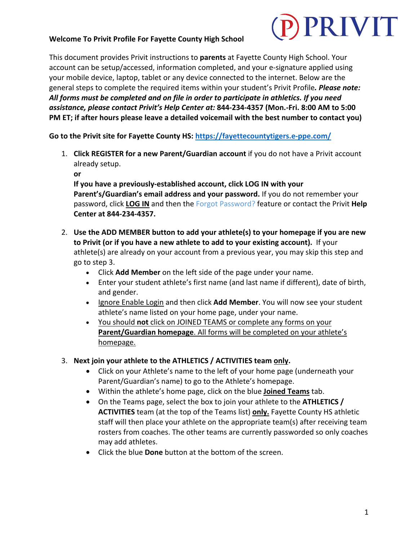#### **Welcome To Privit Profile For Fayette County High School**

## PRIVIT

This document provides Privit instructions to **parents** at Fayette County High School. Your account can be setup/accessed, information completed, and your e-signature applied using your mobile device, laptop, tablet or any device connected to the internet. Below are the general steps to complete the required items within your student's Privit Profile*. Please note: All forms must be completed and on file in order to participate in athletics. If you need assistance, please contact Privit's Help Center at:* **844-234-4357 (Mon.-Fri. 8:00 AM to 5:00 PM ET; if after hours please leave a detailed voicemail with the best number to contact you)**

**Go to the Privit site for Fayette County HS: https://fayettecountytigers.e-ppe.com/**

1. **Click REGISTER for a new Parent/Guardian account** if you do not have a Privit account already setup.

**or**

**If you have a previously-established account, click LOG IN with your Parent's/Guardian's email address and your password.** If you do not remember your password, click **LOG IN** and then the Forgot Password? feature or contact the Privit **Help Center at 844-234-4357.**

- 2. **Use the ADD MEMBER button to add your athlete(s) to your homepage if you are new to Privit (or if you have a new athlete to add to your existing account).** If your athlete(s) are already on your account from a previous year, you may skip this step and go to step 3.
	- Click **Add Member** on the left side of the page under your name.
	- Enter your student athlete's first name (and last name if different), date of birth, and gender.
	- Ignore Enable Login and then click **Add Member**. You will now see your student athlete's name listed on your home page, under your name.
	- You should **not** click on JOINED TEAMS or complete any forms on your **Parent/Guardian homepage**. All forms will be completed on your athlete's homepage.
- 3. **Next join your athlete to the ATHLETICS / ACTIVITIES team only.**
	- Click on your Athlete's name to the left of your home page (underneath your Parent/Guardian's name) to go to the Athlete's homepage.
	- Within the athlete's home page, click on the blue **Joined Teams** tab.
	- On the Teams page, select the box to join your athlete to the **ATHLETICS / ACTIVITIES** team (at the top of the Teams list) **only.** Fayette County HS athletic staff will then place your athlete on the appropriate team(s) after receiving team rosters from coaches. The other teams are currently passworded so only coaches may add athletes.
	- Click the blue **Done** button at the bottom of the screen.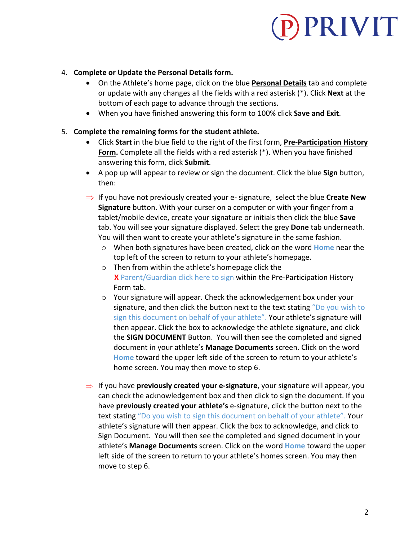# PRIVIT

#### 4. **Complete or Update the Personal Details form.**

- On the Athlete's home page, click on the blue **Personal Details** tab and complete or update with any changes all the fields with a red asterisk (\*). Click **Next** at the bottom of each page to advance through the sections.
- When you have finished answering this form to 100% click **Save and Exit**.

#### 5. **Complete the remaining forms for the student athlete.**

- Click **Start** in the blue field to the right of the first form, **Pre-Participation History Form.** Complete all the fields with a red asterisk (\*). When you have finished answering this form, click **Submit**.
- A pop up will appear to review or sign the document. Click the blue **Sign** button, then:
- $\Rightarrow$  If you have not previously created your e- signature, select the blue **Create New Signature** button. With your curser on a computer or with your finger from a tablet/mobile device, create your signature or initials then click the blue **Save** tab. You will see your signature displayed. Select the grey **Done** tab underneath. You will then want to create your athlete's signature in the same fashion.
	- o When both signatures have been created, click on the word **Home** near the top left of the screen to return to your athlete's homepage.
	- o Then from within the athlete's homepage click the  **X** Parent/Guardian click here to sign within the Pre-Participation History Form tab.
	- o Your signature will appear. Check the acknowledgement box under your signature, and then click the button next to the text stating "Do you wish to sign this document on behalf of your athlete". Your athlete's signature will then appear. Click the box to acknowledge the athlete signature, and click the **SIGN DOCUMENT** Button. You will then see the completed and signed document in your athlete's **Manage Documents** screen. Click on the word **Home** toward the upper left side of the screen to return to your athlete's home screen. You may then move to step 6.
- ⇒ If you have **previously created your e-signature**, your signature will appear, you can check the acknowledgement box and then click to sign the document. If you have **previously created your athlete's** e-signature, click the button next to the text stating "Do you wish to sign this document on behalf of your athlete". Your athlete's signature will then appear. Click the box to acknowledge, and click to Sign Document. You will then see the completed and signed document in your athlete's **Manage Documents** screen. Click on the word **Home** toward the upper left side of the screen to return to your athlete's homes screen. You may then move to step 6.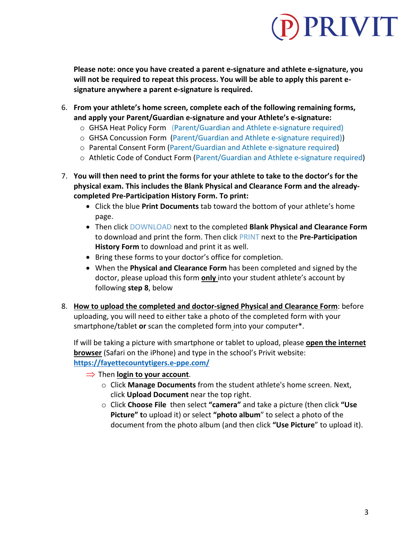### PRIVIT

**Please note: once you have created a parent e-signature and athlete e-signature, you will not be required to repeat this process. You will be able to apply this parent esignature anywhere a parent e-signature is required.**

- 6. **From your athlete's home screen, complete each of the following remaining forms, and apply your Parent/Guardian e-signature and your Athlete's e-signature:**
	- o GHSA Heat Policy Form (Parent/Guardian and Athlete e-signature required)
	- o GHSA Concussion Form (Parent/Guardian and Athlete e-signature required))
	- o Parental Consent Form (Parent/Guardian and Athlete e-signature required)
	- o Athletic Code of Conduct Form (Parent/Guardian and Athlete e-signature required)
- 7. **You will then need to print the forms for your athlete to take to the doctor's for the physical exam. This includes the Blank Physical and Clearance Form and the alreadycompleted Pre-Participation History Form. To print:**
	- Click the blue **Print Documents** tab toward the bottom of your athlete's home page.
	- Then click DOWNLOAD next to the completed **Blank Physical and Clearance Form** to download and print the form. Then click PRINT next to the **Pre-Participation History Form** to download and print it as well.
	- Bring these forms to your doctor's office for completion.
	- When the **Physical and Clearance Form** has been completed and signed by the doctor, please upload this form **only** into your student athlete's account by following **step 8**, below
- 8. **How to upload the completed and doctor-signed Physical and Clearance Form**: before uploading, you will need to either take a photo of the completed form with your smartphone/tablet **or** scan the completed form into your computer\*.

If will be taking a picture with smartphone or tablet to upload, please **open the internet browser** (Safari on the iPhone) and type in the school's Privit website: **https://fayettecountytigers.e-ppe.com/**

- $\Rightarrow$  Then **login to your account**.
	- o Click **Manage Documents** from the student athlete's home screen. Next, click **Upload Document** near the top right.
	- o Click **Choose File** then select **"camera"** and take a picture (then click **"Use Picture" t**o upload it) or select **"photo album**" to select a photo of the document from the photo album (and then click **"Use Picture**" to upload it).